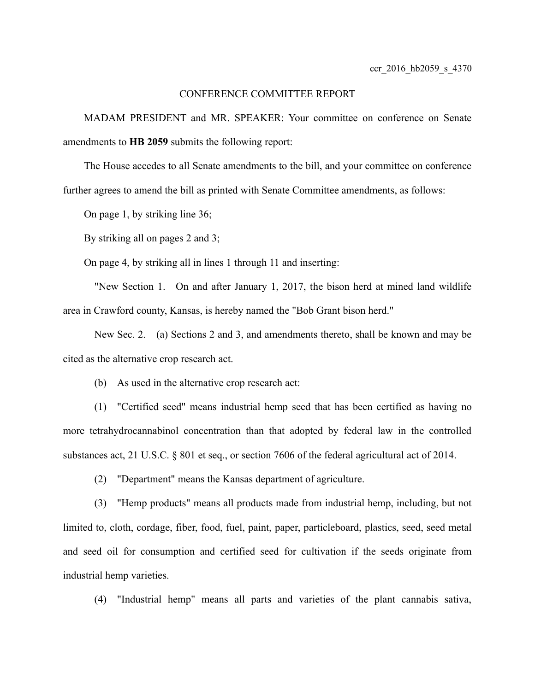## CONFERENCE COMMITTEE REPORT

MADAM PRESIDENT and MR. SPEAKER: Your committee on conference on Senate amendments to **HB 2059** submits the following report:

The House accedes to all Senate amendments to the bill, and your committee on conference further agrees to amend the bill as printed with Senate Committee amendments, as follows:

On page 1, by striking line 36;

By striking all on pages 2 and 3;

On page 4, by striking all in lines 1 through 11 and inserting:

"New Section 1. On and after January 1, 2017, the bison herd at mined land wildlife area in Crawford county, Kansas, is hereby named the "Bob Grant bison herd."

New Sec. 2. (a) Sections 2 and 3, and amendments thereto, shall be known and may be cited as the alternative crop research act.

(b) As used in the alternative crop research act:

(1) "Certified seed" means industrial hemp seed that has been certified as having no more tetrahydrocannabinol concentration than that adopted by federal law in the controlled substances act, 21 U.S.C. § 801 et seq., or section 7606 of the federal agricultural act of 2014.

(2) "Department" means the Kansas department of agriculture.

(3) "Hemp products" means all products made from industrial hemp, including, but not limited to, cloth, cordage, fiber, food, fuel, paint, paper, particleboard, plastics, seed, seed metal and seed oil for consumption and certified seed for cultivation if the seeds originate from industrial hemp varieties.

(4) "Industrial hemp" means all parts and varieties of the plant cannabis sativa,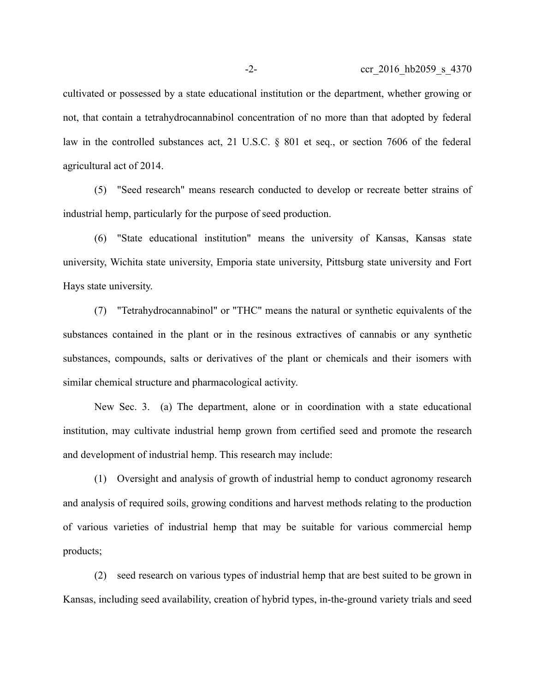cultivated or possessed by a state educational institution or the department, whether growing or not, that contain a tetrahydrocannabinol concentration of no more than that adopted by federal law in the controlled substances act, 21 U.S.C. § 801 et seq., or section 7606 of the federal agricultural act of 2014.

(5) "Seed research" means research conducted to develop or recreate better strains of industrial hemp, particularly for the purpose of seed production.

(6) "State educational institution" means the university of Kansas, Kansas state university, Wichita state university, Emporia state university, Pittsburg state university and Fort Hays state university.

(7) "Tetrahydrocannabinol" or "THC" means the natural or synthetic equivalents of the substances contained in the plant or in the resinous extractives of cannabis or any synthetic substances, compounds, salts or derivatives of the plant or chemicals and their isomers with similar chemical structure and pharmacological activity.

New Sec. 3. (a) The department, alone or in coordination with a state educational institution, may cultivate industrial hemp grown from certified seed and promote the research and development of industrial hemp. This research may include:

(1) Oversight and analysis of growth of industrial hemp to conduct agronomy research and analysis of required soils, growing conditions and harvest methods relating to the production of various varieties of industrial hemp that may be suitable for various commercial hemp products;

(2) seed research on various types of industrial hemp that are best suited to be grown in Kansas, including seed availability, creation of hybrid types, in-the-ground variety trials and seed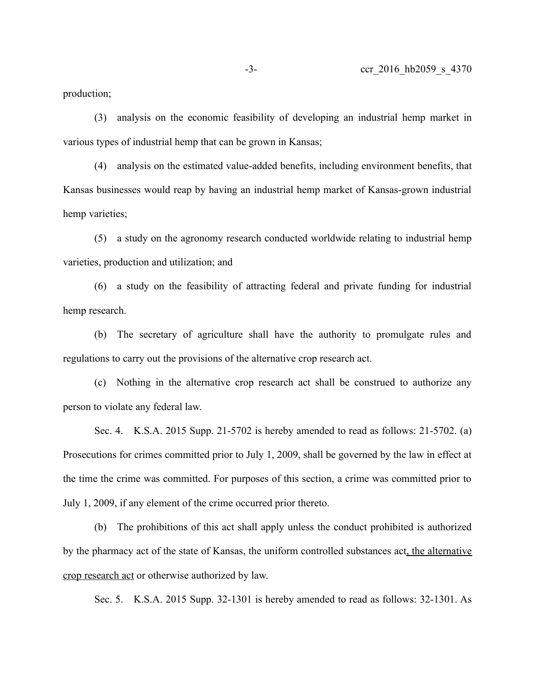production;

(3) analysis on the economic feasibility of developing an industrial hemp market in various types of industrial hemp that can be grown in Kansas;

(4) analysis on the estimated value-added benefits, including environment benefits, that Kansas businesses would reap by having an industrial hemp market of Kansas-grown industrial hemp varieties;

(5) a study on the agronomy research conducted worldwide relating to industrial hemp varieties, production and utilization; and

(6) a study on the feasibility of attracting federal and private funding for industrial hemp research.

(b) The secretary of agriculture shall have the authority to promulgate rules and regulations to carry out the provisions of the alternative crop research act.

(c) Nothing in the alternative crop research act shall be construed to authorize any person to violate any federal law.

Sec. 4. K.S.A. 2015 Supp. 21-5702 is hereby amended to read as follows: 21-5702. (a) Prosecutions for crimes committed prior to July 1, 2009, shall be governed by the law in effect at the time the crime was committed. For purposes of this section, a crime was committed prior to July 1, 2009, if any element of the crime occurred prior thereto.

(b) The prohibitions of this act shall apply unless the conduct prohibited is authorized by the pharmacy act of the state of Kansas, the uniform controlled substances act, the alternative crop research act or otherwise authorized by law.

Sec. 5. K.S.A. 2015 Supp. 32-1301 is hereby amended to read as follows: 32-1301. As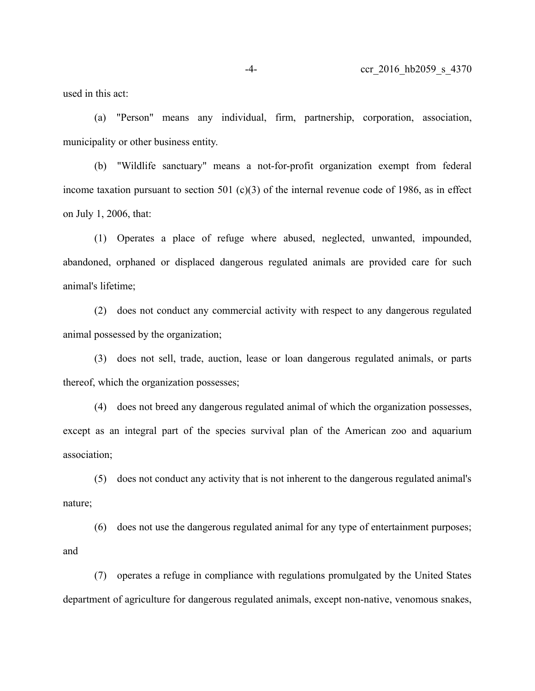used in this act:

(a) "Person" means any individual, firm, partnership, corporation, association, municipality or other business entity.

(b) "Wildlife sanctuary" means a not-for-profit organization exempt from federal income taxation pursuant to section 501 (c)(3) of the internal revenue code of 1986, as in effect on July 1, 2006, that:

(1) Operates a place of refuge where abused, neglected, unwanted, impounded, abandoned, orphaned or displaced dangerous regulated animals are provided care for such animal's lifetime;

(2) does not conduct any commercial activity with respect to any dangerous regulated animal possessed by the organization;

(3) does not sell, trade, auction, lease or loan dangerous regulated animals, or parts thereof, which the organization possesses;

(4) does not breed any dangerous regulated animal of which the organization possesses, except as an integral part of the species survival plan of the American zoo and aquarium association;

(5) does not conduct any activity that is not inherent to the dangerous regulated animal's nature;

(6) does not use the dangerous regulated animal for any type of entertainment purposes; and

(7) operates a refuge in compliance with regulations promulgated by the United States department of agriculture for dangerous regulated animals, except non-native, venomous snakes,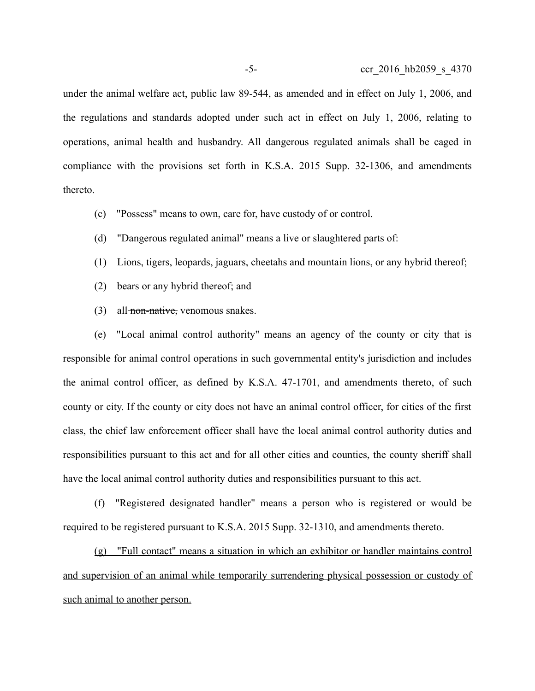under the animal welfare act, public law 89-544, as amended and in effect on July 1, 2006, and the regulations and standards adopted under such act in effect on July 1, 2006, relating to operations, animal health and husbandry. All dangerous regulated animals shall be caged in compliance with the provisions set forth in K.S.A. 2015 Supp. 32-1306, and amendments thereto.

- (c) "Possess" means to own, care for, have custody of or control.
- (d) "Dangerous regulated animal" means a live or slaughtered parts of:
- (1) Lions, tigers, leopards, jaguars, cheetahs and mountain lions, or any hybrid thereof;
- (2) bears or any hybrid thereof; and
- $(3)$  all-non-native, venomous snakes.

(e) "Local animal control authority" means an agency of the county or city that is responsible for animal control operations in such governmental entity's jurisdiction and includes the animal control officer, as defined by K.S.A. 47-1701, and amendments thereto, of such county or city. If the county or city does not have an animal control officer, for cities of the first class, the chief law enforcement officer shall have the local animal control authority duties and responsibilities pursuant to this act and for all other cities and counties, the county sheriff shall have the local animal control authority duties and responsibilities pursuant to this act.

(f) "Registered designated handler" means a person who is registered or would be required to be registered pursuant to K.S.A. 2015 Supp. 32-1310, and amendments thereto.

(g) "Full contact" means a situation in which an exhibitor or handler maintains control and supervision of an animal while temporarily surrendering physical possession or custody of such animal to another person.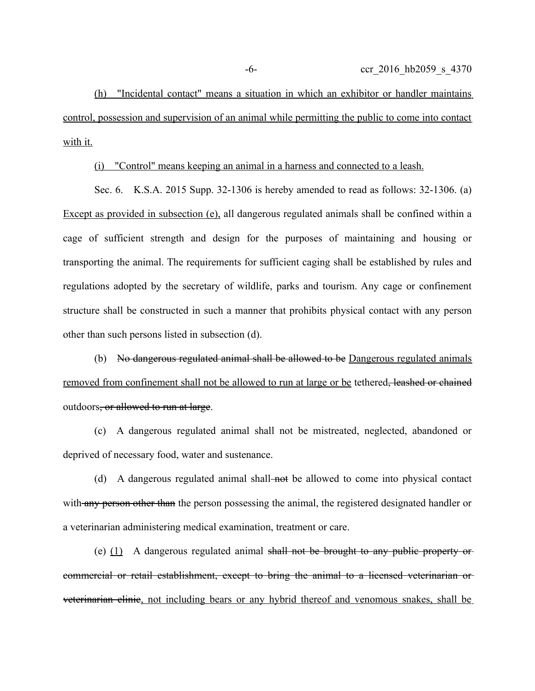(h) "Incidental contact" means a situation in which an exhibitor or handler maintains control, possession and supervision of an animal while permitting the public to come into contact with it.

(i) "Control" means keeping an animal in a harness and connected to a leash.

Sec. 6. K.S.A. 2015 Supp. 32-1306 is hereby amended to read as follows: 32-1306. (a) Except as provided in subsection (e), all dangerous regulated animals shall be confined within a cage of sufficient strength and design for the purposes of maintaining and housing or transporting the animal. The requirements for sufficient caging shall be established by rules and regulations adopted by the secretary of wildlife, parks and tourism. Any cage or confinement structure shall be constructed in such a manner that prohibits physical contact with any person other than such persons listed in subsection (d).

(b) No dangerous regulated animal shall be allowed to be Dangerous regulated animals removed from confinement shall not be allowed to run at large or be tethered, leashed or chained outdoors, or allowed to run at large.

(c) A dangerous regulated animal shall not be mistreated, neglected, abandoned or deprived of necessary food, water and sustenance.

(d) A dangerous regulated animal shall-not be allowed to come into physical contact with any person other than the person possessing the animal, the registered designated handler or a veterinarian administering medical examination, treatment or care.

(e)  $(1)$  A dangerous regulated animal shall not be brought to any public property or commercial or retail establishment, except to bring the animal to a licensed veterinarian or veterinarian clinic, not including bears or any hybrid thereof and venomous snakes, shall be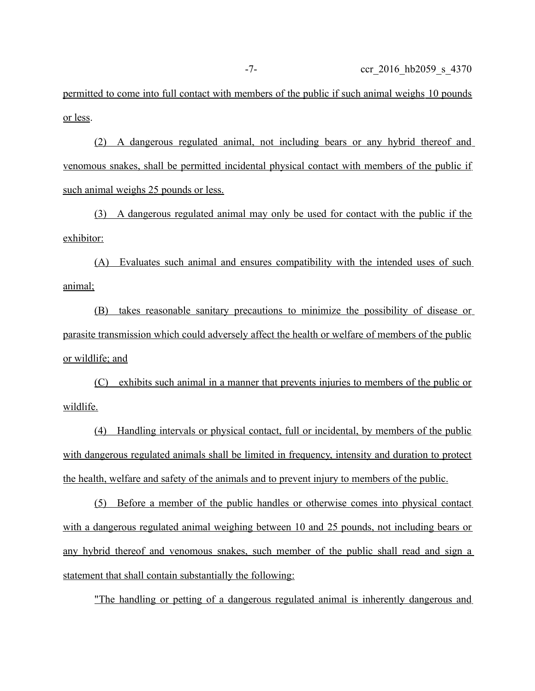permitted to come into full contact with members of the public if such animal weighs 10 pounds or less.

(2) A dangerous regulated animal, not including bears or any hybrid thereof and venomous snakes, shall be permitted incidental physical contact with members of the public if such animal weighs 25 pounds or less.

(3) A dangerous regulated animal may only be used for contact with the public if the exhibitor:

(A) Evaluates such animal and ensures compatibility with the intended uses of such animal;

(B) takes reasonable sanitary precautions to minimize the possibility of disease or parasite transmission which could adversely affect the health or welfare of members of the public or wildlife; and

(C) exhibits such animal in a manner that prevents injuries to members of the public or wildlife.

(4) Handling intervals or physical contact, full or incidental, by members of the public with dangerous regulated animals shall be limited in frequency, intensity and duration to protect the health, welfare and safety of the animals and to prevent injury to members of the public.

(5) Before a member of the public handles or otherwise comes into physical contact with a dangerous regulated animal weighing between 10 and 25 pounds, not including bears or any hybrid thereof and venomous snakes, such member of the public shall read and sign a statement that shall contain substantially the following:

"The handling or petting of a dangerous regulated animal is inherently dangerous and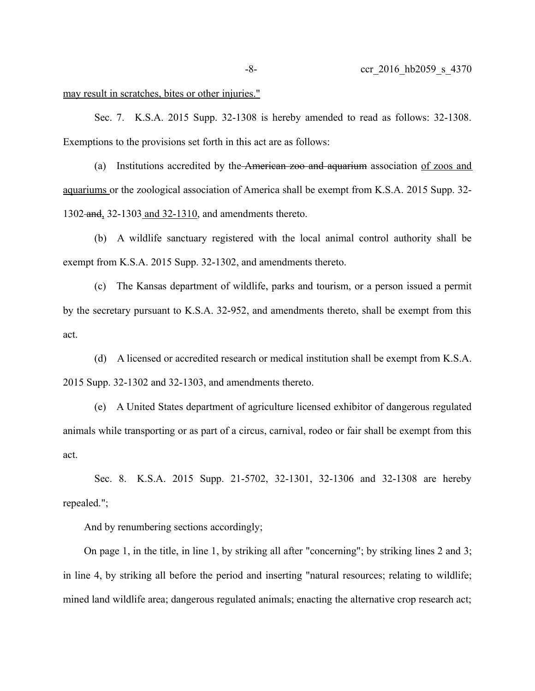may result in scratches, bites or other injuries."

Sec. 7. K.S.A. 2015 Supp. 32-1308 is hereby amended to read as follows: 32-1308. Exemptions to the provisions set forth in this act are as follows:

(a) Institutions accredited by the American zoo and aquarium association of zoos and aquariums or the zoological association of America shall be exempt from K.S.A. 2015 Supp. 32- 1302-and, 32-1303 and 32-1310, and amendments thereto.

(b) A wildlife sanctuary registered with the local animal control authority shall be exempt from K.S.A. 2015 Supp. 32-1302, and amendments thereto.

(c) The Kansas department of wildlife, parks and tourism, or a person issued a permit by the secretary pursuant to K.S.A. 32-952, and amendments thereto, shall be exempt from this act.

(d) A licensed or accredited research or medical institution shall be exempt from K.S.A. 2015 Supp. 32-1302 and 32-1303, and amendments thereto.

(e) A United States department of agriculture licensed exhibitor of dangerous regulated animals while transporting or as part of a circus, carnival, rodeo or fair shall be exempt from this act.

Sec. 8. K.S.A. 2015 Supp. 21-5702, 32-1301, 32-1306 and 32-1308 are hereby repealed.";

And by renumbering sections accordingly;

On page 1, in the title, in line 1, by striking all after "concerning"; by striking lines 2 and 3; in line 4, by striking all before the period and inserting "natural resources; relating to wildlife; mined land wildlife area; dangerous regulated animals; enacting the alternative crop research act;